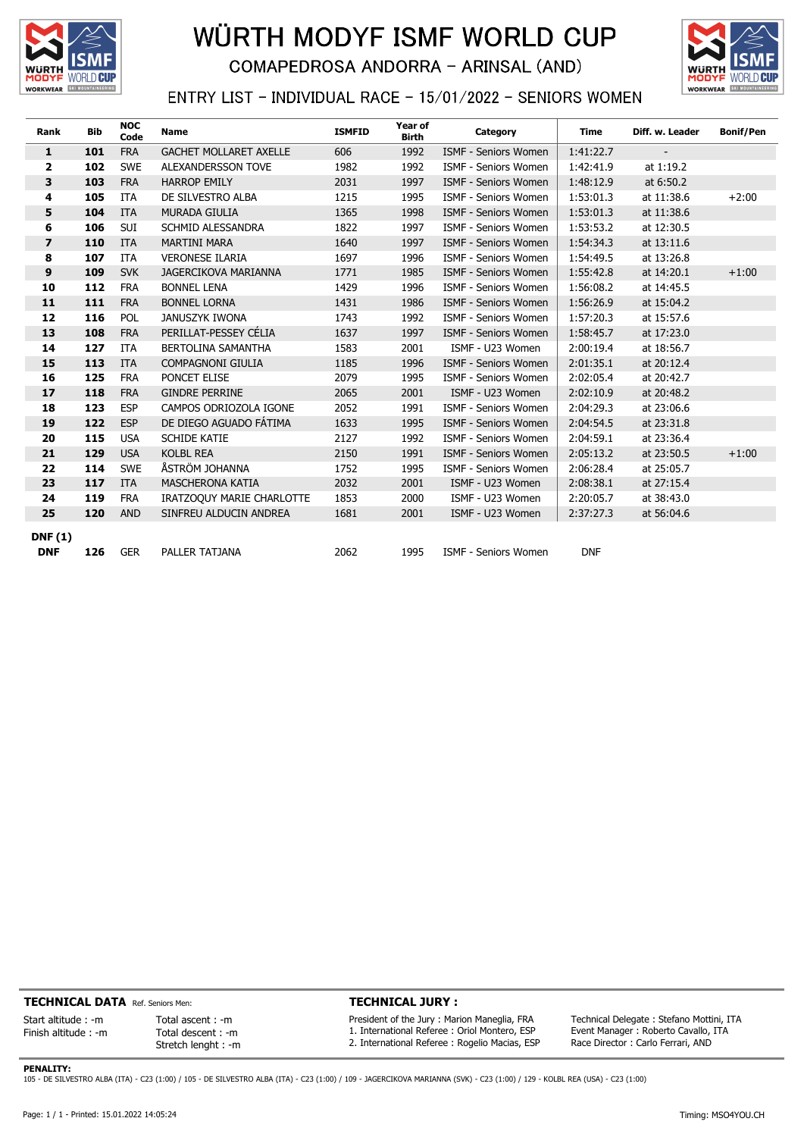

## WÜRTH MODYF ISMF WORLD CUP **COMAPEDROSA ANDORRA - ARINSAL (AND)**



## ENTRY LIST - INDIVIDUAL RACE - 15/01/2022 - SENIORS WOMEN

| Rank                    | <b>Bib</b> | <b>NOC</b><br>Code | <b>Name</b>                   | <b>ISMFID</b> | Year of<br><b>Birth</b> | Category                    | <b>Time</b> | Diff. w. Leader | <b>Bonif/Pen</b> |
|-------------------------|------------|--------------------|-------------------------------|---------------|-------------------------|-----------------------------|-------------|-----------------|------------------|
| 1                       | 101        | <b>FRA</b>         | <b>GACHET MOLLARET AXELLE</b> | 606           | 1992                    | <b>ISMF - Seniors Women</b> | 1:41:22.7   |                 |                  |
| $\overline{2}$          | 102        | <b>SWE</b>         | ALEXANDERSSON TOVE            | 1982          | 1992                    | <b>ISMF - Seniors Women</b> | 1:42:41.9   | at 1:19.2       |                  |
| 3                       | 103        | <b>FRA</b>         | <b>HARROP EMILY</b>           | 2031          | 1997                    | <b>ISMF - Seniors Women</b> | 1:48:12.9   | at 6:50.2       |                  |
| 4                       | 105        | <b>ITA</b>         | DE SILVESTRO ALBA             | 1215          | 1995                    | <b>ISMF - Seniors Women</b> | 1:53:01.3   | at 11:38.6      | $+2:00$          |
| 5                       | 104        | <b>ITA</b>         | MURADA GIULIA                 | 1365          | 1998                    | <b>ISMF - Seniors Women</b> | 1:53:01.3   | at 11:38.6      |                  |
| 6                       | 106        | SUI                | SCHMID ALESSANDRA             | 1822          | 1997                    | <b>ISMF - Seniors Women</b> | 1:53:53.2   | at 12:30.5      |                  |
| $\overline{\mathbf{z}}$ | 110        | <b>ITA</b>         | <b>MARTINI MARA</b>           | 1640          | 1997                    | ISMF - Seniors Women        | 1:54:34.3   | at 13:11.6      |                  |
| 8                       | 107        | <b>ITA</b>         | <b>VERONESE ILARIA</b>        | 1697          | 1996                    | <b>ISMF - Seniors Women</b> | 1:54:49.5   | at 13:26.8      |                  |
| 9                       | 109        | <b>SVK</b>         | <b>JAGERCIKOVA MARIANNA</b>   | 1771          | 1985                    | ISMF - Seniors Women        | 1:55:42.8   | at 14:20.1      | $+1:00$          |
| 10                      | 112        | <b>FRA</b>         | <b>BONNEL LENA</b>            | 1429          | 1996                    | <b>ISMF - Seniors Women</b> | 1:56:08.2   | at 14:45.5      |                  |
| 11                      | 111        | <b>FRA</b>         | <b>BONNEL LORNA</b>           | 1431          | 1986                    | <b>ISMF - Seniors Women</b> | 1:56:26.9   | at 15:04.2      |                  |
| 12                      | 116        | POL                | <b>JANUSZYK IWONA</b>         | 1743          | 1992                    | <b>ISMF - Seniors Women</b> | 1:57:20.3   | at 15:57.6      |                  |
| 13                      | 108        | <b>FRA</b>         | PERILLAT-PESSEY CÉLIA         | 1637          | 1997                    | <b>ISMF - Seniors Women</b> | 1:58:45.7   | at 17:23.0      |                  |
| 14                      | 127        | <b>ITA</b>         | BERTOLINA SAMANTHA            | 1583          | 2001                    | ISMF - U23 Women            | 2:00:19.4   | at 18:56.7      |                  |
| 15                      | 113        | <b>ITA</b>         | <b>COMPAGNONI GIULIA</b>      | 1185          | 1996                    | <b>ISMF - Seniors Women</b> | 2:01:35.1   | at 20:12.4      |                  |
| 16                      | 125        | <b>FRA</b>         | PONCET ELISE                  | 2079          | 1995                    | <b>ISMF - Seniors Women</b> | 2:02:05.4   | at 20:42.7      |                  |
| 17                      | 118        | <b>FRA</b>         | <b>GINDRE PERRINE</b>         | 2065          | 2001                    | ISMF - U23 Women            | 2:02:10.9   | at 20:48.2      |                  |
| 18                      | 123        | <b>ESP</b>         | CAMPOS ODRIOZOLA IGONE        | 2052          | 1991                    | <b>ISMF - Seniors Women</b> | 2:04:29.3   | at 23:06.6      |                  |
| 19                      | 122        | <b>ESP</b>         | DE DIEGO AGUADO FÁTIMA        | 1633          | 1995                    | <b>ISMF - Seniors Women</b> | 2:04:54.5   | at 23:31.8      |                  |
| 20                      | 115        | <b>USA</b>         | <b>SCHIDE KATIE</b>           | 2127          | 1992                    | <b>ISMF - Seniors Women</b> | 2:04:59.1   | at 23:36.4      |                  |
| 21                      | 129        | <b>USA</b>         | <b>KOLBL REA</b>              | 2150          | 1991                    | <b>ISMF - Seniors Women</b> | 2:05:13.2   | at 23:50.5      | $+1:00$          |
| 22                      | 114        | <b>SWE</b>         | ÅSTRÖM JOHANNA                | 1752          | 1995                    | <b>ISMF - Seniors Women</b> | 2:06:28.4   | at 25:05.7      |                  |
| 23                      | 117        | <b>ITA</b>         | MASCHERONA KATIA              | 2032          | 2001                    | ISMF - U23 Women            | 2:08:38.1   | at 27:15.4      |                  |
| 24                      | 119        | <b>FRA</b>         | IRATZOQUY MARIE CHARLOTTE     | 1853          | 2000                    | ISMF - U23 Women            | 2:20:05.7   | at 38:43.0      |                  |
| 25                      | 120        | <b>AND</b>         | SINFREU ALDUCIN ANDREA        | 1681          | 2001                    | ISMF - U23 Women            | 2:37:27.3   | at 56:04.6      |                  |
| <b>DNF(1)</b>           |            |                    |                               |               |                         |                             |             |                 |                  |
| <b>DNF</b>              | 126        | <b>GER</b>         | PALLER TATJANA                | 2062          | 1995                    | <b>ISMF - Seniors Women</b> | <b>DNF</b>  |                 |                  |

TECHNICAL DATA Ref. Seniors Men:

Total ascent : -m Total descent : -m Stretch lenght : -m

Start altitude : -m Finish altitude : -m TECHNICAL JURY :

President of the Jury : Marion Maneglia, FRA 1. International Referee : Oriol Montero, ESP 2. International Referee : Rogelio Macias, ESP

Technical Delegate : Stefano Mottini, ITA Event Manager : Roberto Cavallo, ITA Race Director : Carlo Ferrari, AND

PENALITY:

105 - DE SILVESTRO ALBA (ITA) - C23 (1:00) / 105 - DE SILVESTRO ALBA (ITA) - C23 (1:00) / 109 - JAGERCIKOVA MARIANNA (SVK) - C23 (1:00) / 129 - KOLBL REA (USA) - C23 (1:00)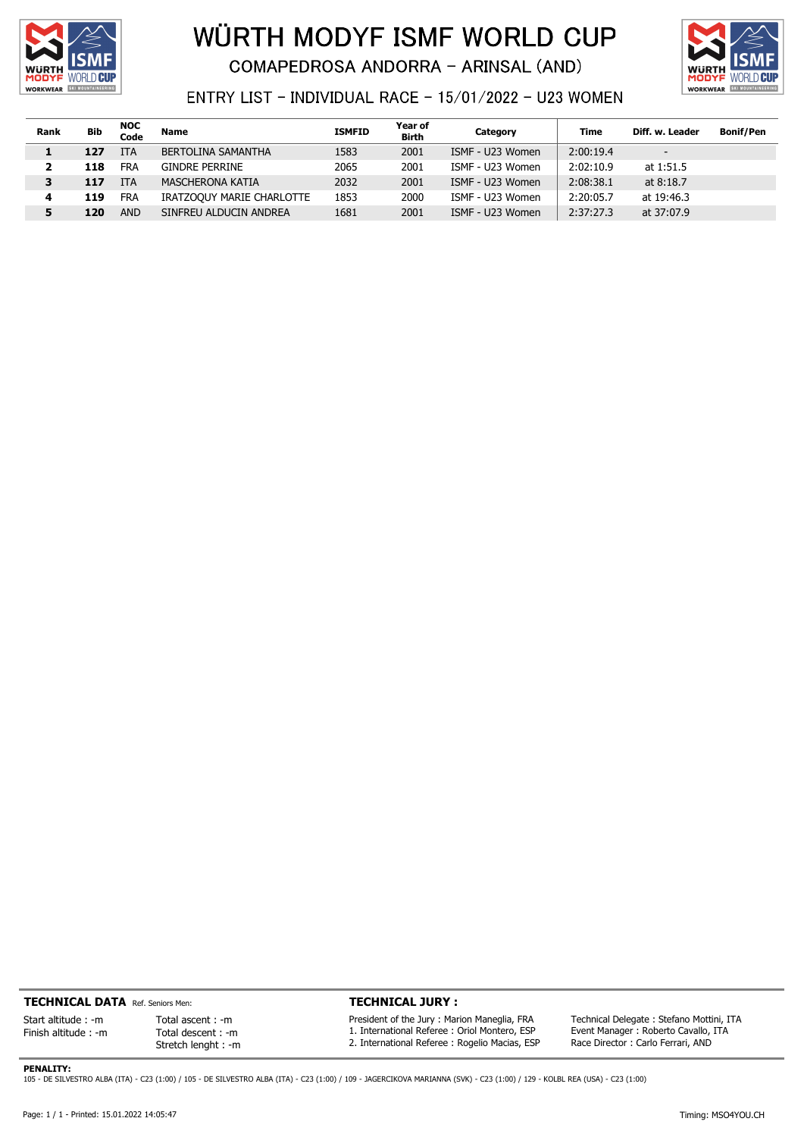

## WÜRTH MODYF ISMF WORLD CUP **COMAPEDROSA ANDORRA - ARINSAL (AND)**



ENTRY LIST - INDIVIDUAL RACE - 15/01/2022 - U23 WOMEN

| Rank | Bib | <b>NOC</b><br>Code | <b>Name</b>               | <b>ISMFID</b> | Year of<br><b>Birth</b> | Category         | Time      | Diff. w. Leader          | <b>Bonif/Pen</b> |
|------|-----|--------------------|---------------------------|---------------|-------------------------|------------------|-----------|--------------------------|------------------|
| 1    | 127 | <b>ITA</b>         | <b>BERTOLINA SAMANTHA</b> | 1583          | 2001                    | ISMF - U23 Women | 2:00:19.4 | $\overline{\phantom{a}}$ |                  |
|      | 118 | <b>FRA</b>         | <b>GINDRE PERRINE</b>     | 2065          | 2001                    | ISMF - U23 Women | 2:02:10.9 | at 1:51.5                |                  |
| 3    | 117 | <b>ITA</b>         | MASCHERONA KATIA          | 2032          | 2001                    | ISMF - U23 Women | 2:08:38.1 | at 8:18.7                |                  |
| 4    | 119 | <b>FRA</b>         | IRATZOOUY MARIE CHARLOTTE | 1853          | 2000                    | ISMF - U23 Women | 2:20:05.7 | at 19:46.3               |                  |
| 5    | 120 | <b>AND</b>         | SINFREU ALDUCIN ANDREA    | 1681          | 2001                    | ISMF - U23 Women | 2:37:27.3 | at 37:07.9               |                  |

TECHNICAL DATA Ref. Seniors Men:

Start altitude : -m Finish altitude : -m

Total descent : -m Stretch lenght : -m

PENALITY:

Total ascent : -m

TECHNICAL JURY :

President of the Jury : Marion Maneglia, FRA 1. International Referee : Oriol Montero, ESP 2. International Referee : Rogelio Macias, ESP

Technical Delegate : Stefano Mottini, ITA Event Manager : Roberto Cavallo, ITA Race Director : Carlo Ferrari, AND

105 - DE SILVESTRO ALBA (ITA) - C23 (1:00) / 105 - DE SILVESTRO ALBA (ITA) - C23 (1:00) / 109 - JAGERCIKOVA MARIANNA (SVK) - C23 (1:00) / 129 - KOLBL REA (USA) - C23 (1:00)